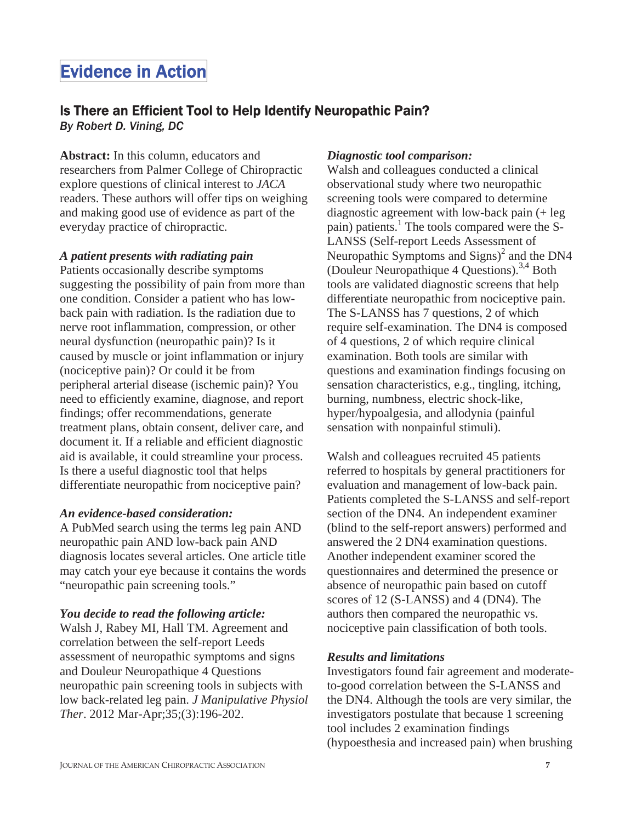# Evidence in Action

# Is There an Efficient Tool to Help Identify Neuropathic Pain?

*By Robert D. Vining, DC*

**Abstract:** In this column, educators and researchers from Palmer College of Chiropractic explore questions of clinical interest to *JACA* readers. These authors will offer tips on weighing and making good use of evidence as part of the everyday practice of chiropractic.

#### *A patient presents with radiating pain*

Patients occasionally describe symptoms suggesting the possibility of pain from more than one condition. Consider a patient who has lowback pain with radiation. Is the radiation due to nerve root inflammation, compression, or other neural dysfunction (neuropathic pain)? Is it caused by muscle or joint inflammation or injury (nociceptive pain)? Or could it be from peripheral arterial disease (ischemic pain)? You need to efficiently examine, diagnose, and report findings; offer recommendations, generate treatment plans, obtain consent, deliver care, and document it. If a reliable and efficient diagnostic aid is available, it could streamline your process. Is there a useful diagnostic tool that helps differentiate neuropathic from nociceptive pain?

#### *An evidence-based consideration:*

A PubMed search using the terms leg pain AND neuropathic pain AND low-back pain AND diagnosis locates several articles. One article title may catch your eye because it contains the words "neuropathic pain screening tools."

#### *You decide to read the following article:*

Walsh J, Rabey MI, Hall TM. Agreement and correlation between the self-report Leeds assessment of neuropathic symptoms and signs and Douleur Neuropathique 4 Questions neuropathic pain screening tools in subjects with low back-related leg pain. *J Manipulative Physiol Ther*. 2012 Mar-Apr;35;(3):196-202.

#### *Diagnostic tool comparison:*

Walsh and colleagues conducted a clinical observational study where two neuropathic screening tools were compared to determine diagnostic agreement with low-back pain (+ leg pain) patients.<sup>1</sup> The tools compared were the S-LANSS (Self-report Leeds Assessment of Neuropathic Symptoms and  $Sigma$ <sup>2</sup> and the DN4 (Douleur Neuropathique 4 Questions).3,4 Both tools are validated diagnostic screens that help differentiate neuropathic from nociceptive pain. The S-LANSS has 7 questions, 2 of which require self-examination. The DN4 is composed of 4 questions, 2 of which require clinical examination. Both tools are similar with questions and examination findings focusing on sensation characteristics, e.g., tingling, itching, burning, numbness, electric shock-like, hyper/hypoalgesia, and allodynia (painful sensation with nonpainful stimuli).

Walsh and colleagues recruited 45 patients referred to hospitals by general practitioners for evaluation and management of low-back pain. Patients completed the S-LANSS and self-report section of the DN4. An independent examiner (blind to the self-report answers) performed and answered the 2 DN4 examination questions. Another independent examiner scored the questionnaires and determined the presence or absence of neuropathic pain based on cutoff scores of 12 (S-LANSS) and 4 (DN4). The authors then compared the neuropathic vs. nociceptive pain classification of both tools.

### *Results and limitations*

Investigators found fair agreement and moderateto-good correlation between the S-LANSS and the DN4. Although the tools are very similar, the investigators postulate that because 1 screening tool includes 2 examination findings (hypoesthesia and increased pain) when brushing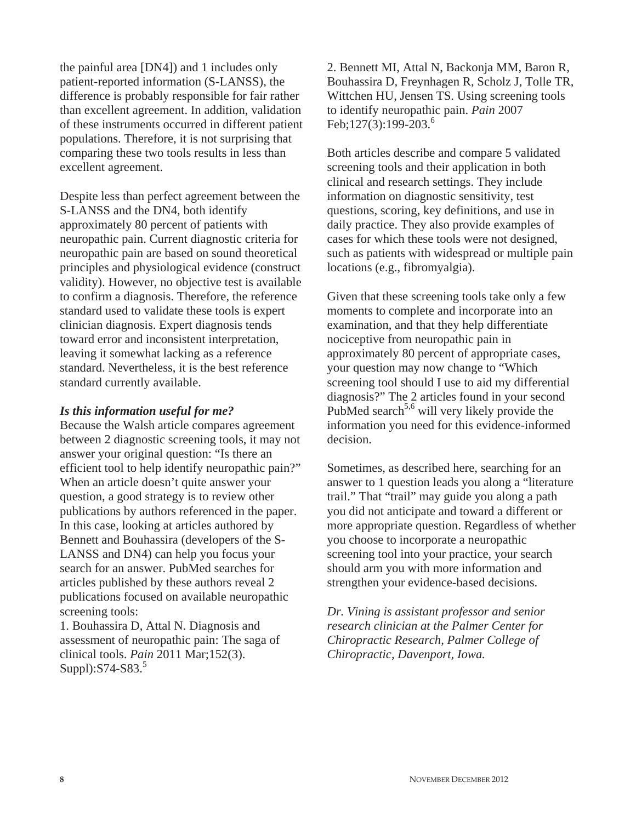the painful area [DN4]) and 1 includes only patient-reported information (S-LANSS), the difference is probably responsible for fair rather than excellent agreement. In addition, validation of these instruments occurred in different patient populations. Therefore, it is not surprising that comparing these two tools results in less than excellent agreement.

Despite less than perfect agreement between the S-LANSS and the DN4, both identify approximately 80 percent of patients with neuropathic pain. Current diagnostic criteria for neuropathic pain are based on sound theoretical principles and physiological evidence (construct validity). However, no objective test is available to confirm a diagnosis. Therefore, the reference standard used to validate these tools is expert clinician diagnosis. Expert diagnosis tends toward error and inconsistent interpretation, leaving it somewhat lacking as a reference standard. Nevertheless, it is the best reference standard currently available.

#### *Is this information useful for me?*

Because the Walsh article compares agreement between 2 diagnostic screening tools, it may not answer your original question: "Is there an efficient tool to help identify neuropathic pain?" When an article doesn't quite answer your question, a good strategy is to review other publications by authors referenced in the paper. In this case, looking at articles authored by Bennett and Bouhassira (developers of the S-LANSS and DN4) can help you focus your search for an answer. PubMed searches for articles published by these authors reveal 2 publications focused on available neuropathic screening tools:

1. Bouhassira D, Attal N. Diagnosis and assessment of neuropathic pain: The saga of clinical tools. *Pain* 2011 Mar;152(3). Suppl): $S74-S83.<sup>5</sup>$ 

2. Bennett MI, Attal N, Backonja MM, Baron R, Bouhassira D, Freynhagen R, Scholz J, Tolle TR, Wittchen HU, Jensen TS. Using screening tools to identify neuropathic pain. *Pain* 2007 Feb;127(3):199-203.<sup>6</sup>

Both articles describe and compare 5 validated screening tools and their application in both clinical and research settings. They include information on diagnostic sensitivity, test questions, scoring, key definitions, and use in daily practice. They also provide examples of cases for which these tools were not designed, such as patients with widespread or multiple pain locations (e.g., fibromyalgia).

Given that these screening tools take only a few moments to complete and incorporate into an examination, and that they help differentiate nociceptive from neuropathic pain in approximately 80 percent of appropriate cases, your question may now change to "Which screening tool should I use to aid my differential diagnosis?" The 2 articles found in your second PubMed search<sup>5,6</sup> will very likely provide the information you need for this evidence-informed decision.

Sometimes, as described here, searching for an answer to 1 question leads you along a "literature trail." That "trail" may guide you along a path you did not anticipate and toward a different or more appropriate question. Regardless of whether you choose to incorporate a neuropathic screening tool into your practice, your search should arm you with more information and strengthen your evidence-based decisions.

*Dr. Vining is assistant professor and senior research clinician at the Palmer Center for Chiropractic Research, Palmer College of Chiropractic, Davenport, Iowa.*